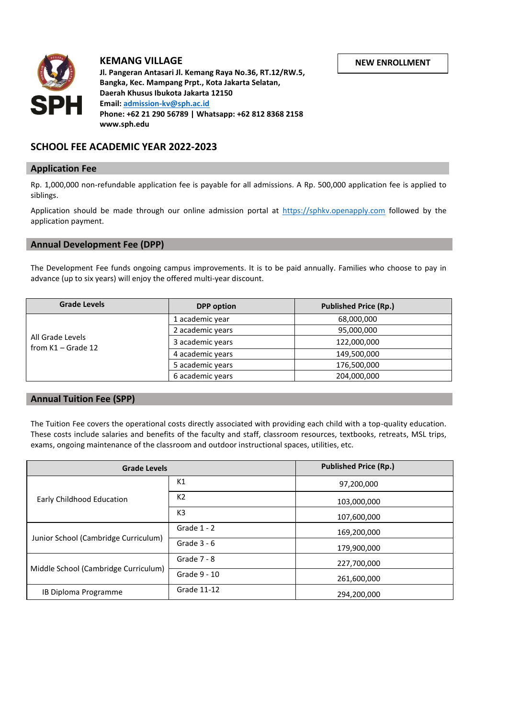

# **KEMANG VILLAGE**

**Jl. Pangeran Antasari Jl. Kemang Raya No.36, RT.12/RW.5, Bangka, Kec. Mampang Prpt., Kota Jakarta Selatan, Daerah Khusus Ibukota Jakarta 12150 Email: [admission-kv@sph.ac.id](mailto:admission-kv@sph.ac.id) Phone: +62 21 290 56789 | Whatsapp: +62 812 8368 2158 www.sph.edu**

# **SCHOOL FEE ACADEMIC YEAR 2022-2023**

## **Application Fee**

Rp. 1,000,000 non-refundable application fee is payable for all admissions. A Rp. 500,000 application fee is applied to siblings.

Application should be made through our online admission portal at [https://sphkv.openapply.com](https://sphkv.openapply.com/) followed by the application payment.

### **Annual Development Fee (DPP)**

The Development Fee funds ongoing campus improvements. It is to be paid annually. Families who choose to pay in advance (up to six years) will enjoy the offered multi-year discount.

| <b>Grade Levels</b>                      | <b>DPP</b> option | <b>Published Price (Rp.)</b> |
|------------------------------------------|-------------------|------------------------------|
| All Grade Levels<br>from $K1 -$ Grade 12 | 1 academic year   | 68,000,000                   |
|                                          | 2 academic years  | 95,000,000                   |
|                                          | 3 academic years  | 122,000,000                  |
|                                          | 4 academic years  | 149,500,000                  |
|                                          | 5 academic years  | 176,500,000                  |
|                                          | 6 academic years  | 204,000,000                  |

## **Annual Tuition Fee (SPP)**

The Tuition Fee covers the operational costs directly associated with providing each child with a top-quality education. These costs include salaries and benefits of the faculty and staff, classroom resources, textbooks, retreats, MSL trips, exams, ongoing maintenance of the classroom and outdoor instructional spaces, utilities, etc.

| <b>Grade Levels</b>                  |                | <b>Published Price (Rp.)</b> |
|--------------------------------------|----------------|------------------------------|
| <b>Early Childhood Education</b>     | K1             | 97,200,000                   |
|                                      | K <sub>2</sub> | 103,000,000                  |
|                                      | K <sub>3</sub> | 107,600,000                  |
| Junior School (Cambridge Curriculum) | Grade $1 - 2$  | 169,200,000                  |
|                                      | Grade $3 - 6$  | 179,900,000                  |
| Middle School (Cambridge Curriculum) | Grade $7 - 8$  | 227,700,000                  |
|                                      | Grade 9 - 10   | 261,600,000                  |
| IB Diploma Programme                 | Grade 11-12    | 294,200,000                  |

**NEW ENROLLMENT**